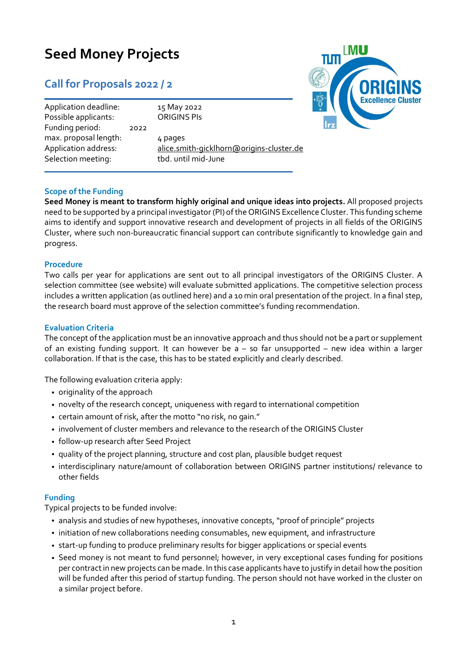# **Seed Money Projects**

## **Call for Proposals 2022 / 2**

| Application deadline:                         |      | 15 May 2022                                         |
|-----------------------------------------------|------|-----------------------------------------------------|
| Possible applicants:<br>Funding period:       | 2022 | <b>ORIGINS PIS</b>                                  |
| max. proposal length:<br>Application address: |      | 4 pages<br>alice.smith-gicklhorn@origins-cluster.de |
| Selection meeting:                            |      | tbd. until mid-June                                 |



### **Scope of the Funding**

**Seed Money is meant to transform highly original and unique ideas into projects.** All proposed projects need to be supported by a principal investigator (PI) of the ORIGINS Excellence Cluster. This funding scheme aims to identify and support innovative research and development of projects in all fields of the ORIGINS Cluster, where such non-bureaucratic financial support can contribute significantly to knowledge gain and progress.

#### **Procedure**

Two calls per year for applications are sent out to all principal investigators of the ORIGINS Cluster. A selection committee (see website) will evaluate submitted applications. The competitive selection process includes a written application (as outlined here) and a 10 min oral presentation of the project. In a final step, the research board must approve of the selection committee's funding recommendation.

#### **Evaluation Criteria**

The concept of the application must be an innovative approach and thus should not be a part or supplement of an existing funding support. It can however be  $a - so$  far unsupported – new idea within a larger collaboration. If that is the case, this has to be stated explicitly and clearly described.

The following evaluation criteria apply:

- originality of the approach
- novelty of the research concept, uniqueness with regard to international competition
- certain amount of risk, after the motto "no risk, no gain."
- involvement of cluster members and relevance to the research of the ORIGINS Cluster
- follow-up research after Seed Project
- quality of the project planning, structure and cost plan, plausible budget request
- interdisciplinary nature/amount of collaboration between ORIGINS partner institutions/ relevance to other fields

#### **Funding**

Typical projects to be funded involve:

- analysis and studies of new hypotheses, innovative concepts, "proof of principle" projects
- initiation of new collaborations needing consumables, new equipment, and infrastructure
- start-up funding to produce preliminary results for bigger applications or special events
- Seed money is not meant to fund personnel; however, in very exceptional cases funding for positions per contractin new projects can be made. In this case applicants have to justify in detail how the position will be funded after this period of startup funding. The person should not have worked in the cluster on a similar project before.